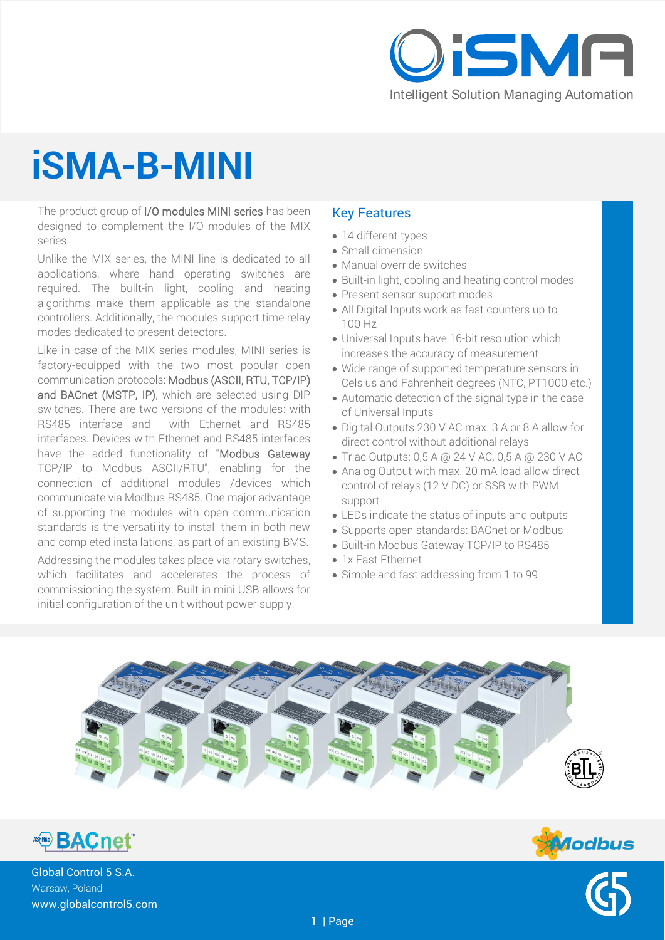

# **iSMA-B-MINI**

The product group of I/O modules MINI series has been designed to complement the I/O modules of the MIX series.

Unlike the MIX series, the MINI line is dedicated to all applications, where hand operating switches are required. The built-in light, cooling and heating algorithms make them applicable as the standalone controllers. Additionally, the modules support time relay modes dedicated to present detectors.

Like in case of the MIX series modules, MINI series is factory-equipped with the two most popular open communication protocols: Modbus (ASCII, RTU, TCP/IP) and BACnet (MSTP, IP), which are selected using DIP switches. There are two versions of the modules: with RS485 interface and with Ethernet and RS485 interfaces. Devices with Ethernet and RS485 interfaces have the added functionality of "Modbus Gateway TCP/IP to Modbus ASCII/RTU", enabling for the connection of additional modules /devices which communicate via Modbus RS485. One major advantage of supporting the modules with open communication standards is the versatility to install them in both new and completed installations, as part of an existing BMS.

Addressing the modules takes place via rotary switches, which facilitates and accelerates the process of commissioning the system. Built-in mini USB allows for initial configuration of the unit without power supply.

#### Key Features

- 14 different types
- Small dimension
- Manual override switches
- Built-in light, cooling and heating control modes
- Present sensor support modes
- All Digital Inputs work as fast counters up to 100 Hz
- Universal Inputs have 16-bit resolution which increases the accuracy of measurement
- Wide range of supported temperature sensors in Celsius and Fahrenheit degrees (NTC, PT1000 etc.)
- Automatic detection of the signal type in the case of Universal Inputs
- Digital Outputs 230 V AC max. 3 A or 8 A allow for direct control without additional relays
- Triac Outputs: 0,5 A @ 24 V AC, 0,5 A @ 230 V AC
- Analog Output with max. 20 mA load allow direct control of relays (12 V DC) or SSR with PWM support
- LEDs indicate the status of inputs and outputs
- Supports open standards: BACnet or Modbus
- Built-in Modbus Gateway TCP/IP to RS485
- 1x Fast Ethernet
- Simple and fast addressing from 1 to 99



1 | Page



Global Control 5 S.A. Warsaw, Poland www.globalcontrol5.com

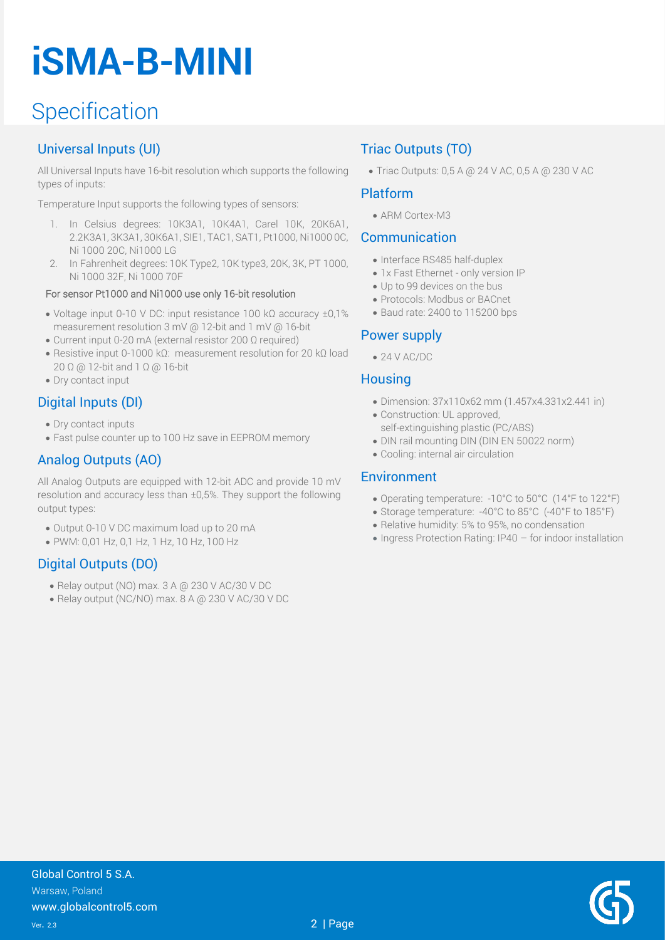# **iSMA-B-MINI**

# **Specification**

# Universal Inputs (UI)

All Universal Inputs have 16-bit resolution which supports the following types of inputs:

Temperature Input supports the following types of sensors:

- 1. In Celsius degrees: 10K3A1, 10K4A1, Carel 10K, 20K6A1, 2.2K3A1, 3K3A1, 30K6A1, SIE1, TAC1, SAT1, Pt1000, Ni1000 0C, Ni 1000 20C, Ni1000 LG
- 2. In Fahrenheit degrees: 10K Type2, 10K type3, 20K, 3K, PT 1000, Ni 1000 32F, Ni 1000 70F

#### For sensor Pt1000 and Ni1000 use only 16-bit resolution

- Voltage input 0-10 V DC: input resistance 100 kΩ accuracy ±0,1% measurement resolution 3 mV @ 12-bit and 1 mV @ 16-bit
- Current input 0-20 mA (external resistor 200 Ω required)
- Resistive input 0-1000 kΩ: measurement resolution for 20 kΩ load 20 Ω @ 12-bit and 1 Ω @ 16-bit
- Dry contact input

### Digital Inputs (DI)

- Dry contact inputs
- Fast pulse counter up to 100 Hz save in EEPROM memory

## Analog Outputs (AO)

All Analog Outputs are equipped with 12-bit ADC and provide 10 mV resolution and accuracy less than ±0,5%. They support the following output types:

- Output 0-10 V DC maximum load up to 20 mA
- PWM: 0,01 Hz, 0,1 Hz, 1 Hz, 10 Hz, 100 Hz

## Digital Outputs (DO)

- Relay output (NO) max. 3 A @ 230 V AC/30 V DC
- Relay output (NC/NO) max. 8 A @ 230 V AC/30 V DC

# Triac Outputs (TO)

• Triac Outputs: 0,5 A @ 24 V AC, 0,5 A @ 230 V AC

#### Platform

• ARM Cortex-M3

#### **Communication**

- Interface RS485 half-duplex
- 1x Fast Ethernet only version IP
- Up to 99 devices on the bus
- Protocols: Modbus or BACnet
- Baud rate: 2400 to 115200 bps

### Power supply

 $• 24 V AC/DC$ 

### **Housing**

- Dimension: 37x110x62 mm (1.457x4.331x2.441 in)
- Construction: UL approved, self-extinguishing plastic (PC/ABS)
- DIN rail mounting DIN (DIN EN 50022 norm)
- Cooling: internal air circulation

#### Environment

- Operating temperature: -10°C to 50°C (14°F to 122°F)
- Storage temperature: -40°C to 85°C (-40°F to 185°F)
- Relative humidity: 5% to 95%, no condensation
- Ingress Protection Rating: IP40 for indoor installation